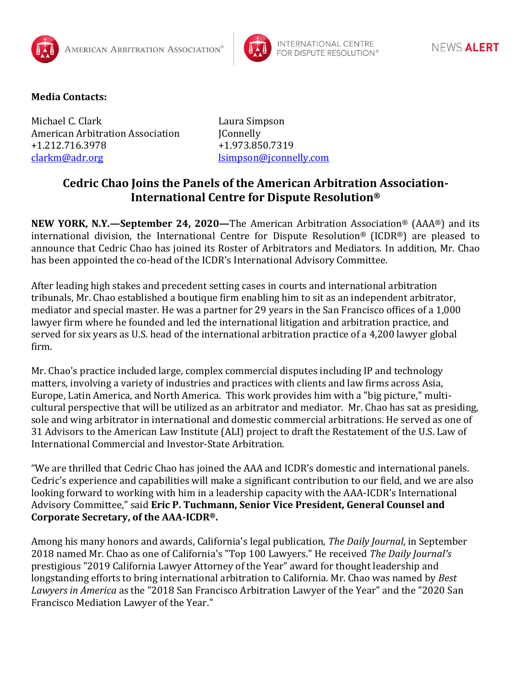



## **Media Contacts:**

Michael C. Clark Laura Simpson American Arbitration Association JConnelly +1.212.716.3978 +1.973.850.7319 [clarkm@adr.org](mailto:clarkm@adr.org) [lsimpson@jconnelly.com](mailto:lsimpson@jconnelly.com)

## **Cedric Chao Joins the Panels of the American Arbitration Association-International Centre for Dispute Resolution®**

**NEW YORK, N.Y.—September 24, 2020—**The American Arbitration Association® (AAA®) and its international division, the International Centre for Dispute Resolution® (ICDR®) are pleased to announce that Cedric Chao has joined its Roster of Arbitrators and Mediators. In addition, Mr. Chao has been appointed the co-head of the ICDR's International Advisory Committee.

After leading high stakes and precedent setting cases in courts and international arbitration tribunals, Mr. Chao established a boutique firm enabling him to sit as an independent arbitrator, mediator and special master. He was a partner for 29 years in the San Francisco offices of a 1,000 lawyer firm where he founded and led the international litigation and arbitration practice, and served for six years as U.S. head of the international arbitration practice of a 4,200 lawyer global firm.

Mr. Chao's practice included large, complex commercial disputes including IP and technology matters, involving a variety of industries and practices with clients and law firms across Asia, Europe, Latin America, and North America. This work provides him with a "big picture," multicultural perspective that will be utilized as an arbitrator and mediator. Mr. Chao has sat as presiding, sole and wing arbitrator in international and domestic commercial arbitrations. He served as one of 31 Advisors to the American Law Institute (ALI) project to draft the Restatement of the U.S. Law of International Commercial and Investor-State Arbitration.

"We are thrilled that Cedric Chao has joined the AAA and ICDR's domestic and international panels. Cedric's experience and capabilities will make a significant contribution to our field, and we are also looking forward to working with him in a leadership capacity with the AAA-ICDR's International Advisory Committee," said **Eric P. Tuchmann, Senior Vice President, General Counsel and Corporate Secretary, of the AAA-ICDR®.**

Among his many honors and awards, California's legal publication, *The Daily Journal*, in September 2018 named Mr. Chao as one of California's "Top 100 Lawyers." He received *The Daily Journal's* prestigious "2019 California Lawyer Attorney of the Year" award for thought leadership and longstanding efforts to bring international arbitration to California. Mr. Chao was named by *Best Lawyers in America* as the "2018 San Francisco Arbitration Lawyer of the Year" and the "2020 San Francisco Mediation Lawyer of the Year."